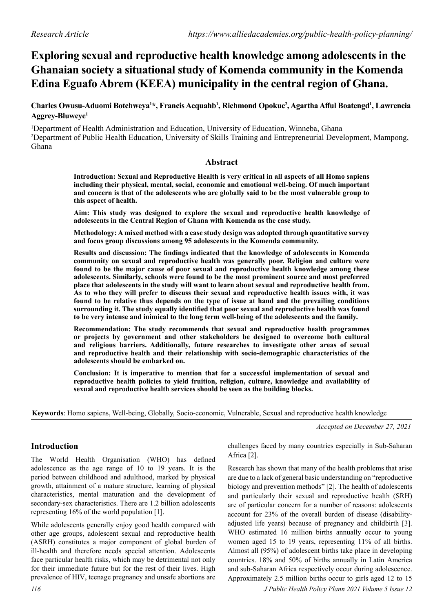# **Exploring sexual and reproductive health knowledge among adolescents in the Ghanaian society a situational study of Komenda community in the Komenda Edina Eguafo Abrem (KEEA) municipality in the central region of Ghana.**

# **Charles Owusu-Aduomi Botchweya1 \*, Francis Acquahb1 , Richmond Opokuc2 , Agartha Afful Boatengd<sup>1</sup> , Lawrencia Aggrey-Bluweye1**

<sup>1</sup>Department of Health Administration and Education, University of Education, Winneba, Ghana 2 Department of Public Health Education, University of Skills Training and Entrepreneurial Development, Mampong, Ghana

#### **Abstract**

**Introduction: Sexual and Reproductive Health is very critical in all aspects of all Homo sapiens including their physical, mental, social, economic and emotional well-being. Of much important and concern is that of the adolescents who are globally said to be the most vulnerable group to this aspect of health.**

**Aim: This study was designed to explore the sexual and reproductive health knowledge of adolescents in the Central Region of Ghana with Komenda as the case study.**

**Methodology: A mixed method with a case study design was adopted through quantitative survey and focus group discussions among 95 adolescents in the Komenda community.**

**Results and discussion: The findings indicated that the knowledge of adolescents in Komenda community on sexual and reproductive health was generally poor. Religion and culture were found to be the major cause of poor sexual and reproductive health knowledge among these adolescents. Similarly, schools were found to be the most prominent source and most preferred place that adolescents in the study will want to learn about sexual and reproductive health from. As to who they will prefer to discuss their sexual and reproductive health issues with, it was found to be relative thus depends on the type of issue at hand and the prevailing conditions surrounding it. The study equally identified that poor sexual and reproductive health was found to be very intense and inimical to the long term well-being of the adolescents and the family.**

**Recommendation: The study recommends that sexual and reproductive health programmes or projects by government and other stakeholders be designed to overcome both cultural and religious barriers. Additionally, future researches to investigate other areas of sexual and reproductive health and their relationship with socio-demographic characteristics of the adolescents should be embarked on.**

**Conclusion: It is imperative to mention that for a successful implementation of sexual and reproductive health policies to yield fruition, religion, culture, knowledge and availability of sexual and reproductive health services should be seen as the building blocks.**

**Keywords**: Homo sapiens, Well-being, Globally, Socio-economic, Vulnerable, Sexual and reproductive health knowledge

*Accepted on December 27, 2021*

# **Introduction**

The World Health Organisation (WHO) has defined adolescence as the age range of 10 to 19 years. It is the period between childhood and adulthood, marked by physical growth, attainment of a mature structure, learning of physical characteristics, mental maturation and the development of secondary-sex characteristics. There are 1.2 billion adolescents representing 16% of the world population [1].

While adolescents generally enjoy good health compared with other age groups, adolescent sexual and reproductive health (ASRH) constitutes a major component of global burden of ill-health and therefore needs special attention. Adolescents face particular health risks, which may be detrimental not only for their immediate future but for the rest of their lives. High prevalence of HIV, teenage pregnancy and unsafe abortions are challenges faced by many countries especially in Sub-Saharan Africa [2].

Research has shown that many of the health problems that arise are due to a lack of general basic understanding on "reproductive biology and prevention methods" [2]. The health of adolescents and particularly their sexual and reproductive health (SRH) are of particular concern for a number of reasons: adolescents account for 23% of the overall burden of disease (disabilityadjusted life years) because of pregnancy and childbirth [3]. WHO estimated 16 million births annually occur to young women aged 15 to 19 years, representing 11% of all births. Almost all (95%) of adolescent births take place in developing countries. 18% and 50% of births annually in Latin America and sub-Saharan Africa respectively occur during adolescence. Approximately 2.5 million births occur to girls aged 12 to 15

*116 J Public Health Policy Plann 2021 Volume 5 Issue 12*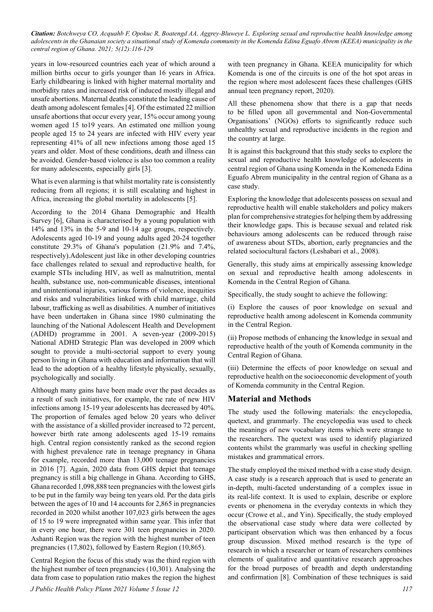years in low-resourced countries each year of which around a million births occur to girls younger than 16 years in Africa. Early childbearing is linked with higher maternal mortality and morbidity rates and increased risk of induced mostly illegal and unsafe abortions. Maternal deaths constitute the leading cause of death among adolescent females [4]. Of the estimated 22 million unsafe abortions that occur every year, 15% occur among young women aged 15 to19 years. An estimated one million young people aged 15 to 24 years are infected with HIV every year representing 41% of all new infections among those aged 15 years and older. Most of these conditions, death and illness can be avoided. Gender-based violence is also too common a reality for many adolescents, especially girls [3].

What is even alarming is that whilst mortality rate is consistently reducing from all regions; it is still escalating and highest in Africa, increasing the global mortality in adolescents [5].

According to the 2014 Ghana Demographic and Health Survey [6], Ghana is characterised by a young population with 14% and 13% in the 5-9 and 10-14 age groups, respectively. Adolescents aged 10-19 and young adults aged 20-24 together constitute 29.3% of Ghana's population (21.9% and 7.4%, respectively).Adolescent just like in other developing countries face challenges related to sexual and reproductive health, for example STIs including HIV, as well as malnutrition, mental health, substance use, non-communicable diseases, intentional and unintentional injuries, various forms of violence, inequities and risks and vulnerabilities linked with child marriage, child labour, trafficking as well as disabilities. A number of initiatives have been undertaken in Ghana since 1980 culminating the launching of the National Adolescent Health and Development (ADHD) programme in 2001. A seven-year (2009-2015) National ADHD Strategic Plan was developed in 2009 which sought to provide a multi-sectorial support to every young person living in Ghana with education and information that will lead to the adoption of a healthy lifestyle physically, sexually, psychologically and socially.

Although many gains have been made over the past decades as a result of such initiatives, for example, the rate of new HIV infections among 15-19 year adolescents has decreased by 40%. The proportion of females aged below 20 years who deliver with the assistance of a skilled provider increased to 72 percent, however birth rate among adolescents aged 15-19 remains high. Central region consistently ranked as the second region with highest prevalence rate in teenage pregnancy in Ghana for example, recorded more than 13,000 teenage pregnancies in 2016 [7]. Again, 2020 data from GHS depict that teenage pregnancy is still a big challenge in Ghana. According to GHS, Ghana recorded 1,098,888 teen pregnancies with the lowest girls to be put in the family way being ten years old. Per the data girls between the ages of 10 and 14 accounts for 2,865 in pregnancies recorded in 2020 whilst another 107,023 girls between the ages of 15 to 19 were impregnated within same year. This infer that in every one hour, there were 301 teen pregnancies in 2020. Ashanti Region was the region with the highest number of teen pregnancies (17,802), followed by Eastern Region (10,865).

Central Region the focus of this study was the third region with the highest number of teen pregnancies (10,301). Analysing the data from case to population ratio makes the region the highest

with teen pregnancy in Ghana. KEEA municipality for which Komenda is one of the circuits is one of the hot spot areas in the region where most adolescent faces these challenges (GHS annual teen pregnancy report, 2020).

All these phenomena show that there is a gap that needs to be filled upon all governmental and Non-Governmental Organisations' (NGOs) efforts to significantly reduce such unhealthy sexual and reproductive incidents in the region and the country at large.

It is against this background that this study seeks to explore the sexual and reproductive health knowledge of adolescents in central region of Ghana using Komenda in the Komeneda Edina Eguafo Abrem municipality in the central region of Ghana as a case study.

Exploring the knowledge that adolescents possess on sexual and reproductive health will enable stakeholders and policy makers plan for comprehensive strategies for helping them by addressing their knowledge gaps. This is because sexual and related risk behaviours among adolescents can be reduced through raise of awareness about STDs, abortion, early pregnancies and the related sociocultural factors (Leshabari et al., 2008).

Generally, this study aims at empirically assessing knowledge on sexual and reproductive health among adolescents in Komenda in the Central Region of Ghana.

Specifically, the study sought to achieve the following:

(i) Explore the causes of poor knowledge on sexual and reproductive health among adolescent in Komenda community in the Central Region.

(ii) Propose methods of enhancing the knowledge in sexual and reproductive health of the youth of Komenda community in the Central Region of Ghana.

(iii) Determine the effects of poor knowledge on sexual and reproductive health on the socioeconomic development of youth of Komenda community in the Central Region.

# **Material and Methods**

The study used the following materials: the encyclopedia, quetext, and grammarly. The encyclopedia was used to check the meanings of new vocabulary items which were strange to the researchers. The quetext was used to identify plagiarized contents whilst the grammarly was useful in checking spelling mistakes and grammatical errors.

The study employed the mixed method with a case study design. A case study is a research approach that is used to generate an in-depth, multi-faceted understanding of a complex issue in its real-life context. It is used to explain, describe or explore events or phenomena in the everyday contexts in which they occur (Crowe et al., and Yin). Specifically, the study employed the observational case study where data were collected by participant observation which was then enhanced by a focus group discussion. Mixed method research is the type of research in which a researcher or team of researchers combines elements of qualitative and quantitative research approaches for the broad purposes of breadth and depth understanding and confirmation [8]. Combination of these techniques is said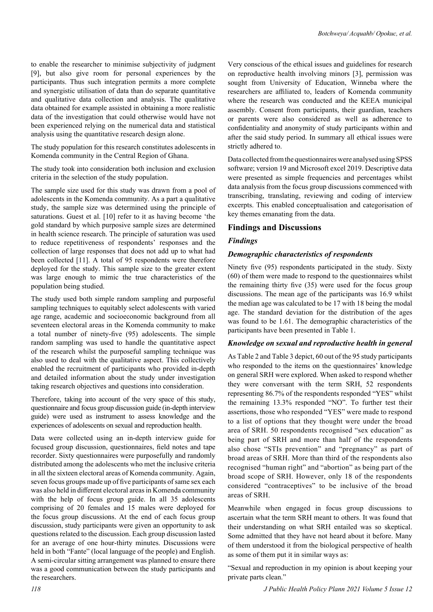to enable the researcher to minimise subjectivity of judgment [9], but also give room for personal experiences by the participants. Thus such integration permits a more complete and synergistic utilisation of data than do separate quantitative and qualitative data collection and analysis. The qualitative data obtained for example assisted in obtaining a more realistic data of the investigation that could otherwise would have not been experienced relying on the numerical data and statistical analysis using the quantitative research design alone.

The study population for this research constitutes adolescents in Komenda community in the Central Region of Ghana.

The study took into consideration both inclusion and exclusion criteria in the selection of the study population.

The sample size used for this study was drawn from a pool of adolescents in the Komenda community. As a part a qualitative study, the sample size was determined using the principle of saturations. Guest et al. [10] refer to it as having become 'the gold standard by which purposive sample sizes are determined in health science research. The principle of saturation was used to reduce repetitiveness of respondents' responses and the collection of large responses that does not add up to what had been collected [11]. A total of 95 respondents were therefore deployed for the study. This sample size to the greater extent was large enough to mimic the true characteristics of the population being studied.

The study used both simple random sampling and purposeful sampling techniques to equitably select adolescents with varied age range, academic and socioeconomic background from all seventeen electoral areas in the Komenda community to make a total number of ninety-five (95) adolescents. The simple random sampling was used to handle the quantitative aspect of the research whilst the purposeful sampling technique was also used to deal with the qualitative aspect. This collectively enabled the recruitment of participants who provided in-depth and detailed information about the study under investigation taking research objectives and questions into consideration.

Therefore, taking into account of the very space of this study, questionnaire and focus group discussion guide (in-depth interview guide) were used as instrument to assess knowledge and the experiences of adolescents on sexual and reproduction health.

Data were collected using an in-depth interview guide for focused group discussion, questionnaires, field notes and tape recorder. Sixty questionnaires were purposefully and randomly distributed among the adolescents who met the inclusive criteria in all the sixteen electoral areas of Komenda community. Again, seven focus groups made up of five participants of same sex each was also held in different electoral areas in Komenda community with the help of focus group guide. In all 35 adolescents comprising of 20 females and 15 males were deployed for the focus group discussions. At the end of each focus group discussion, study participants were given an opportunity to ask questions related to the discussion. Each group discussion lasted for an average of one hour-thirty minutes. Discussions were held in both "Fante" (local language of the people) and English. A semi-circular sitting arrangement was planned to ensure there was a good communication between the study participants and the researchers.

Very conscious of the ethical issues and guidelines for research on reproductive health involving minors [3], permission was sought from University of Education, Winneba where the researchers are affiliated to, leaders of Komenda community where the research was conducted and the KEEA municipal assembly. Consent from participants, their guardian, teachers or parents were also considered as well as adherence to confidentiality and anonymity of study participants within and after the said study period. In summary all ethical issues were strictly adhered to.

Data collected from the questionnaires were analysed using SPSS software; version 19 and Microsoft excel 2019. Descriptive data were presented as simple frequencies and percentages whilst data analysis from the focus group discussions commenced with transcribing, translating, reviewing and coding of interview excerpts. This enabled conceptualisation and categorisation of key themes emanating from the data.

## **Findings and Discussions**

#### *Findings*

#### *Demographic characteristics of respondents*

Ninety five (95) respondents participated in the study. Sixty (60) of them were made to respond to the questionnaires whilst the remaining thirty five (35) were used for the focus group discussions. The mean age of the participants was 16.9 whilst the median age was calculated to be 17 with 18 being the modal age. The standard deviation for the distribution of the ages was found to be 1.61. The demographic characteristics of the participants have been presented in Table 1.

#### *Knowledge on sexual and reproductive health in general*

As Table 2 and Table 3 depict, 60 out of the 95 study participants who responded to the items on the questionnaires' knowledge on general SRH were explored. When asked to respond whether they were conversant with the term SRH, 52 respondents representing 86.7% of the respondents responded "YES" whilst the remaining 13.3% responded "NO". To further test their assertions, those who responded "YES" were made to respond to a list of options that they thought were under the broad area of SRH. 50 respondents recognised "sex education" as being part of SRH and more than half of the respondents also chose "STIs prevention" and "pregnancy" as part of broad areas of SRH. More than third of the respondents also recognised "human right" and "abortion" as being part of the broad scope of SRH. However, only 18 of the respondents considered "contraceptives" to be inclusive of the broad areas of SRH.

Meanwhile when engaged in focus group discussions to ascertain what the term SRH meant to others. It was found that their understanding on what SRH entailed was so skeptical. Some admitted that they have not heard about it before. Many of them understood it from the biological perspective of health as some of them put it in similar ways as:

"Sexual and reproduction in my opinion is about keeping your private parts clean."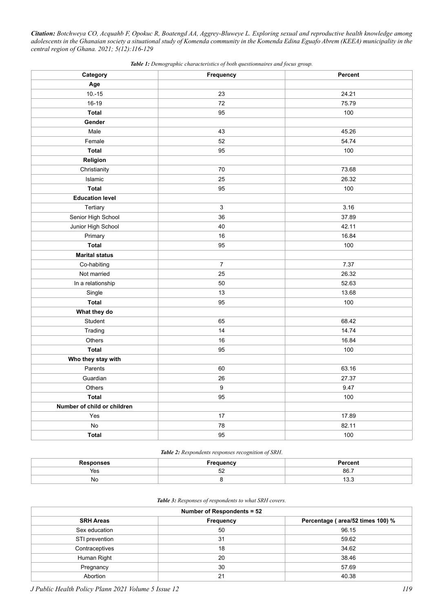| Category                    | Frequency        | Percent |
|-----------------------------|------------------|---------|
| Age                         |                  |         |
| $10.-15$                    | 23               | 24.21   |
| 16-19                       | 72               | 75.79   |
| Total                       | 95               | 100     |
| Gender                      |                  |         |
| Male                        | 43               | 45.26   |
| Female                      | 52               | 54.74   |
| <b>Total</b>                | 95               | 100     |
| Religion                    |                  |         |
| Christianity                | 70               | 73.68   |
| Islamic                     | 25               | 26.32   |
| <b>Total</b>                | 95               | 100     |
| <b>Education level</b>      |                  |         |
| Tertiary                    | $\mathbf{3}$     | 3.16    |
| Senior High School          | 36               | 37.89   |
| Junior High School          | 40               | 42.11   |
| Primary                     | 16               | 16.84   |
| <b>Total</b>                | 95               | 100     |
| <b>Marital status</b>       |                  |         |
| Co-habiting                 | $\overline{7}$   | 7.37    |
| Not married                 | 25               | 26.32   |
| In a relationship           | 50               | 52.63   |
| Single                      | 13               | 13.68   |
| <b>Total</b>                | 95               | 100     |
| What they do                |                  |         |
| Student                     | 65               | 68.42   |
| Trading                     | 14               | 14.74   |
| Others                      | 16               | 16.84   |
| Total                       | 95               | 100     |
| Who they stay with          |                  |         |
| Parents                     | 60               | 63.16   |
| Guardian                    | 26               | 27.37   |
| Others                      | $\boldsymbol{9}$ | 9.47    |
| <b>Total</b>                | 95               | 100     |
| Number of child or children |                  |         |
| Yes                         | 17               | 17.89   |
| No                          | 78               | 82.11   |
| <b>Total</b>                | 95               | 100     |

*Table 1: Demographic characteristics of both questionnaires and focus group.*

#### *Table 2: Respondents responses recognition of SRH*.

|     | Freauencv | <sup>⊐</sup> ercen∟ |
|-----|-----------|---------------------|
| Yes | $-$<br>ےں | 86.                 |
| No  |           | 19.9                |

#### *Table 3: Responses of respondents to what SRH covers.*

| Number of Respondents = 52 |           |                                  |  |
|----------------------------|-----------|----------------------------------|--|
| <b>SRH Areas</b>           | Frequency | Percentage (area/52 times 100) % |  |
| Sex education              | 50        | 96.15                            |  |
| STI prevention             | 31        | 59.62                            |  |
| Contraceptives             | 18        | 34.62                            |  |
| Human Right                | 20        | 38.46                            |  |
| Pregnancy                  | 30        | 57.69                            |  |
| Abortion                   | 21        | 40.38                            |  |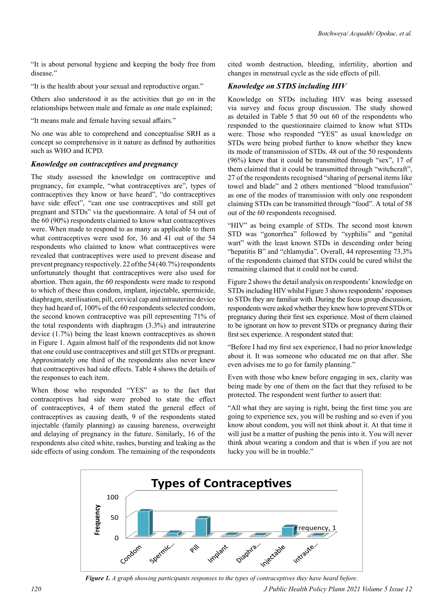"It is about personal hygiene and keeping the body free from disease."

"It is the health about your sexual and reproductive organ."

Others also understood it as the activities that go on in the relationships between male and female as one male explained;

"It means male and female having sexual affairs."

No one was able to comprehend and conceptualise SRH as a concept so comprehensive in it nature as defined by authorities such as WHO and ICPD.

## *Knowledge on contraceptives and pregnancy*

The study assessed the knowledge on contraceptive and pregnancy, for example, "what contraceptives are", types of contraceptives they know or have heard", "do contraceptives have side effect", "can one use contraceptives and still get pregnant and STDs" via the questionnaire. A total of 54 out of the 60 (90%) respondents claimed to know what contraceptives were. When made to respond to as many as applicable to them what contraceptives were used for, 36 and 41 out of the 54 respondents who claimed to know what contraceptives were revealed that contraceptives were used to prevent disease and prevent pregnancy respectively. 22 of the 54 (40.7%) respondents unfortunately thought that contraceptives were also used for abortion. Then again, the 60 respondents were made to respond to which of these thus condom, implant, injectable, spermicide, diaphragm, sterilisation, pill, cervical cap and intrauterine device they had heard of, 100% of the 60 respondents selected condom, the second known contraceptive was pill representing 71% of the total respondents with diaphragm (3.3%) and intrauterine device (1.7%) being the least known contraceptives as shown in Figure 1. Again almost half of the respondents did not know that one could use contraceptives and still get STDs or pregnant. Approximately one third of the respondents also never knew that contraceptives had side effects. Table 4 shows the details of the responses to each item.

When those who responded "YES" as to the fact that contraceptives had side were probed to state the effect of contraceptives, 4 of them stated the general effect of contraceptives as causing death, 9 of the respondents stated injectable (family planning) as causing bareness, overweight and delaying of pregnancy in the future. Similarly, 16 of the respondents also cited white, rashes, bursting and leaking as the side effects of using condom. The remaining of the respondents cited womb destruction, bleeding, infertility, abortion and changes in menstrual cycle as the side effects of pill.

# *Knowledge on STDS including HIV*

Knowledge on STDs including HIV was being assessed via survey and focus group discussion. The study showed as detailed in Table 5 that 50 out 60 of the respondents who responded to the questionnaire claimed to know what STDs were. Those who responded "YES" as usual knowledge on STDs were being probed further to know whether they knew its mode of transmission of STDs. 48 out of the 50 respondents (96%) knew that it could be transmitted through "sex", 17 of them claimed that it could be transmitted through "witchcraft", 27 of the respondents recognised "sharing of personal items like towel and blade" and 2 others mentioned "blood transfusion" as one of the modes of transmission with only one respondent claiming STDs can be transmitted through "food". A total of 58 out of the 60 respondents recognised.

"HIV" as being example of STDs. The second most known STD was "gonorrhea" followed by "syphilis" and "genital wart" with the least known STDs in descending order being "hepatitis B" and "chlamydia". Overall, 44 representing 73.3% of the respondents claimed that STDs could be cured whilst the remaining claimed that it could not be cured.

Figure 2 shows the detail analysis on respondents' knowledge on STDs including HIV whilst Figure 3 shows respondents' responses to STDs they are familiar with. During the focus group discussion, respondents were asked whether they knew how to prevent STDs or pregnancy during their first sex experience. Most of them claimed to be ignorant on how to prevent STDs or pregnancy during their first sex experience. A respondent stated that:

"Before I had my first sex experience, I had no prior knowledge about it. It was someone who educated me on that after. She even advises me to go for family planning."

Even with those who knew before engaging in sex, clarity was being made by one of them on the fact that they refused to be protected. The respondent went further to assert that:

"All what they are saying is right, being the first time you are going to experience sex, you will be rushing and so even if you know about condom, you will not think about it. At that time it will just be a matter of pushing the penis into it. You will never think about wearing a condom and that is when if you are not lucky you will be in trouble."



*Figure 1. A graph showing participants responses to the types of contraceptives they have heard before.*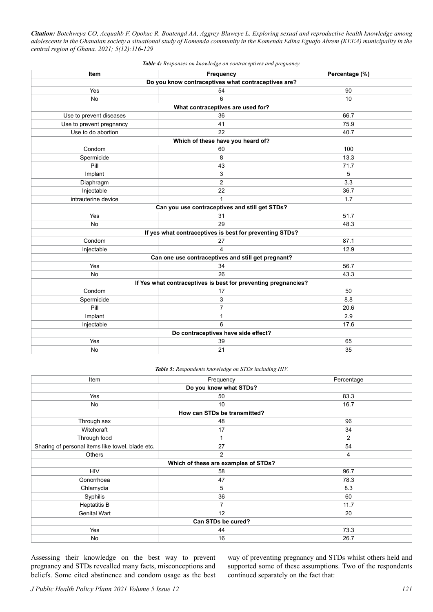| Item                                                           | Frequency                                               | Percentage (%) |  |  |  |
|----------------------------------------------------------------|---------------------------------------------------------|----------------|--|--|--|
| Do you know contraceptives what contraceptives are?            |                                                         |                |  |  |  |
| Yes<br>54<br>90                                                |                                                         |                |  |  |  |
| No                                                             | 6                                                       | 10             |  |  |  |
|                                                                | What contraceptives are used for?                       |                |  |  |  |
| Use to prevent diseases                                        | 36<br>66.7                                              |                |  |  |  |
| Use to prevent pregnancy                                       | 41                                                      | 75.9           |  |  |  |
| Use to do abortion                                             | 22                                                      | 40.7           |  |  |  |
|                                                                | Which of these have you heard of?                       |                |  |  |  |
| Condom                                                         | 60                                                      | 100            |  |  |  |
| Spermicide                                                     | 8                                                       | 13.3           |  |  |  |
| Pill                                                           | 43                                                      | 71.7           |  |  |  |
| Implant                                                        | 3                                                       | 5              |  |  |  |
| Diaphragm                                                      | $\overline{c}$                                          | 3.3            |  |  |  |
| Injectable                                                     | 22                                                      | 36.7           |  |  |  |
| intrauterine device                                            | $\mathbf{1}$                                            | 1.7            |  |  |  |
|                                                                | Can you use contraceptives and still get STDs?          |                |  |  |  |
| Yes                                                            | 31                                                      | 51.7           |  |  |  |
| No                                                             | 29                                                      | 48.3           |  |  |  |
|                                                                | If yes what contraceptives is best for preventing STDs? |                |  |  |  |
| 87.1<br>Condom<br>27                                           |                                                         |                |  |  |  |
| Injectable                                                     | $\overline{\mathbf{4}}$                                 | 12.9           |  |  |  |
|                                                                | Can one use contraceptives and still get pregnant?      |                |  |  |  |
| Yes                                                            | 34                                                      | 56.7           |  |  |  |
| No                                                             | 26                                                      | 43.3           |  |  |  |
| If Yes what contraceptives is best for preventing pregnancies? |                                                         |                |  |  |  |
| Condom                                                         | 17                                                      | 50             |  |  |  |
| Spermicide                                                     | 3                                                       | 8.8            |  |  |  |
| Pill                                                           | $\overline{7}$                                          | 20.6           |  |  |  |
| Implant                                                        | $\mathbf{1}$                                            | 2.9            |  |  |  |
| Injectable                                                     | 6                                                       | 17.6           |  |  |  |
| Do contraceptives have side effect?                            |                                                         |                |  |  |  |
| Yes                                                            | 39                                                      | 65             |  |  |  |
| No                                                             | 21                                                      | 35             |  |  |  |

*Table 4: Responses on knowledge on contraceptives and pregnancy.*

*Table 5: Respondents knowledge on STDs including HIV.*

| Item                                                   | Frequency                            | Percentage |  |
|--------------------------------------------------------|--------------------------------------|------------|--|
| Do you know what STDs?                                 |                                      |            |  |
| 83.3<br>Yes<br>50                                      |                                      |            |  |
| No                                                     | 10<br>16.7                           |            |  |
|                                                        | How can STDs be transmitted?         |            |  |
| Through sex                                            | 48                                   | 96         |  |
| Witchcraft                                             | 17                                   | 34         |  |
| Through food                                           |                                      | 2          |  |
| Sharing of personal items like towel, blade etc.<br>27 |                                      | 54         |  |
| Others                                                 | $\overline{2}$                       | 4          |  |
|                                                        | Which of these are examples of STDs? |            |  |
| <b>HIV</b><br>96.7<br>58                               |                                      |            |  |
| Gonorrhoea                                             | 47                                   | 78.3       |  |
| Chlamydia                                              | 5                                    | 8.3        |  |
| Syphilis                                               | 36                                   | 60         |  |
| <b>Heptatitis B</b>                                    | 7                                    | 11.7       |  |
| <b>Genital Wart</b>                                    | 12                                   | 20         |  |
| Can STDs be cured?                                     |                                      |            |  |
| Yes                                                    | 44                                   | 73.3       |  |
| No                                                     | 16                                   | 26.7       |  |

Assessing their knowledge on the best way to prevent pregnancy and STDs revealled many facts, misconceptions and beliefs. Some cited abstinence and condom usage as the best way of preventing pregnancy and STDs whilst others held and supported some of these assumptions. Two of the respondents continued separately on the fact that: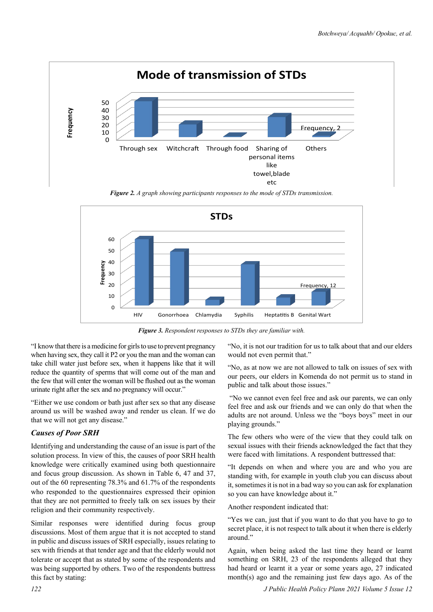$\Omega$ 10  $20$ 30 40 50 Through sex Witchcraft Through food Sharing of personal items like towel,blade etc **Others** Frequency, **Frequency Mode of transmission of STDs**

*Figure 2. A graph showing participants responses to the mode of STDs transmission.*



*Figure 3. Respondent responses to STDs they are familiar with.*

"I know that there is a medicine for girls to use to prevent pregnancy when having sex, they call it P2 or you the man and the woman can take chill water just before sex, when it happens like that it will reduce the quantity of sperms that will come out of the man and the few that will enter the woman will be flushed out as the woman urinate right after the sex and no pregnancy will occur."

"Either we use condom or bath just after sex so that any disease around us will be washed away and render us clean. If we do that we will not get any disease."

## *Causes of Poor SRH*

Identifying and understanding the cause of an issue is part of the solution process. In view of this, the causes of poor SRH health knowledge were critically examined using both questionnaire and focus group discussion. As shown in Table 6, 47 and 37, out of the 60 representing 78.3% and 61.7% of the respondents who responded to the questionnaires expressed their opinion that they are not permitted to freely talk on sex issues by their religion and their community respectively.

Similar responses were identified during focus group discussions. Most of them argue that it is not accepted to stand in public and discuss issues of SRH especially, issues relating to sex with friends at that tender age and that the elderly would not tolerate or accept that as stated by some of the respondents and was being supported by others. Two of the respondents buttress this fact by stating:

"No, it is not our tradition for us to talk about that and our elders would not even permit that."

"No, as at now we are not allowed to talk on issues of sex with our peers, our elders in Komenda do not permit us to stand in public and talk about those issues."

 "No we cannot even feel free and ask our parents, we can only feel free and ask our friends and we can only do that when the adults are not around. Unless we the "boys boys" meet in our playing grounds."

The few others who were of the view that they could talk on sexual issues with their friends acknowledged the fact that they were faced with limitations. A respondent buttressed that:

"It depends on when and where you are and who you are standing with, for example in youth club you can discuss about it, sometimes it is not in a bad way so you can ask for explanation so you can have knowledge about it."

Another respondent indicated that:

"Yes we can, just that if you want to do that you have to go to secret place, it is not respect to talk about it when there is elderly around."

Again, when being asked the last time they heard or learnt something on SRH, 23 of the respondents alleged that they had heard or learnt it a year or some years ago, 27 indicated month(s) ago and the remaining just few days ago. As of the

*122 J Public Health Policy Plann 2021 Volume 5 Issue 12*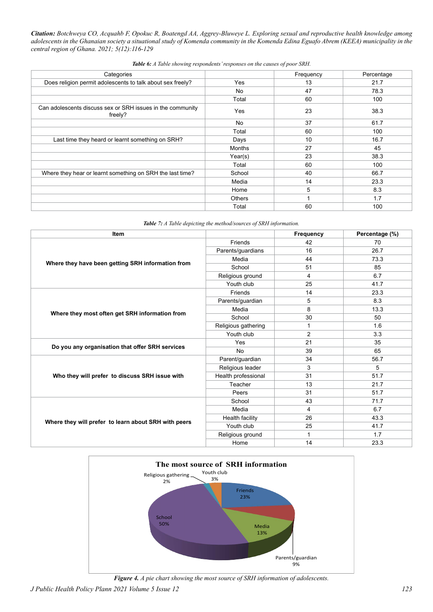| Categories                                                            |               | Frequency | Percentage |
|-----------------------------------------------------------------------|---------------|-----------|------------|
| Does religion permit adolescents to talk about sex freely?            | Yes           | 13        | 21.7       |
|                                                                       | No            | 47        | 78.3       |
|                                                                       | Total         | 60        | 100        |
| Can adolescents discuss sex or SRH issues in the community<br>freely? | Yes           | 23        | 38.3       |
|                                                                       | No            | 37        | 61.7       |
|                                                                       | Total         | 60        | 100        |
| Last time they heard or learnt something on SRH?                      | Days          | 10        | 16.7       |
|                                                                       | Months        | 27        | 45         |
|                                                                       | Year(s)       | 23        | 38.3       |
|                                                                       | Total         | 60        | 100        |
| Where they hear or learnt something on SRH the last time?             | School        | 40        | 66.7       |
|                                                                       | Media         | 14        | 23.3       |
|                                                                       | Home          | 5         | 8.3        |
|                                                                       | <b>Others</b> |           | 1.7        |
|                                                                       | Total         | 60        | 100        |

*Table 6: A Table showing respondents' responses on the causes of poor SRH.*

| <b>Table 7:</b> A Table depicting the method/sources of SRH information. |  |  |  |
|--------------------------------------------------------------------------|--|--|--|
|--------------------------------------------------------------------------|--|--|--|

| Item                                                 |                     | Frequency      | Percentage (%) |
|------------------------------------------------------|---------------------|----------------|----------------|
| Where they have been getting SRH information from    | Friends             | 42             | 70             |
|                                                      | Parents/guardians   | 16             | 26.7           |
|                                                      | Media               | 44             | 73.3           |
|                                                      | School              | 51             | 85             |
|                                                      | Religious ground    | 4              | 6.7            |
|                                                      | Youth club          | 25             | 41.7           |
|                                                      | Friends             | 14             | 23.3           |
|                                                      | Parents/guardian    | 5              | 8.3            |
|                                                      | Media               | 8              | 13.3           |
| Where they most often get SRH information from       | School              | 30             | 50             |
|                                                      | Religious gathering | 1              | 1.6            |
|                                                      | Youth club          | $\overline{2}$ | 3.3            |
|                                                      | Yes                 | 21             | 35             |
| Do you any organisation that offer SRH services      | <b>No</b>           | 39             | 65             |
|                                                      | Parent/guardian     | 34             | 56.7           |
|                                                      | Religious leader    | 3              | 5              |
| Who they will prefer to discuss SRH issue with       | Health professional | 31             | 51.7           |
|                                                      | Teacher             | 13             | 21.7           |
|                                                      | Peers               | 31             | 51.7           |
|                                                      | School              | 43             | 71.7           |
|                                                      | Media               | 4              | 6.7            |
|                                                      | Health facility     | 26             | 43.3           |
| Where they will prefer to learn about SRH with peers | Youth club          | 25             | 41.7           |
|                                                      | Religious ground    | 1              | 1.7            |
|                                                      | Home                | 14             | 23.3           |



*Figure 4. A pie chart showing the most source of SRH information of adolescents.*

*J Public Health Policy Plann 2021 Volume 5 Issue 12 123*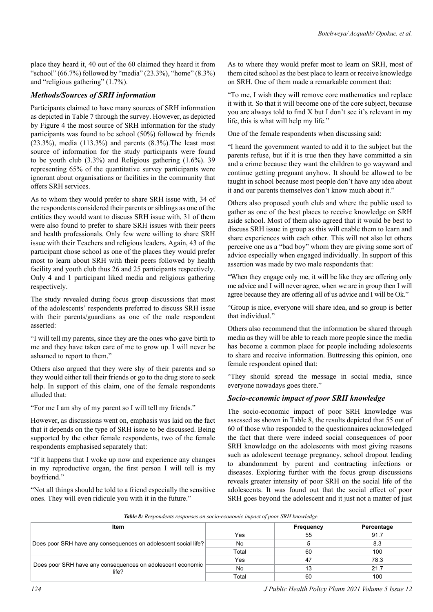place they heard it, 40 out of the 60 claimed they heard it from "school" (66.7%) followed by "media" (23.3%), "home" (8.3%) and "religious gathering" (1.7%).

#### *Methods/Sources of SRH information*

Participants claimed to have many sources of SRH information as depicted in Table 7 through the survey. However, as depicted by Figure 4 the most source of SRH information for the study participants was found to be school (50%) followed by friends (23.3%), media (113.3%) and parents (8.3%).The least most source of information for the study participants were found to be youth club (3.3%) and Religious gathering (1.6%). 39 representing 65% of the quantitative survey participants were ignorant about organisations or facilities in the community that offers SRH services.

As to whom they would prefer to share SRH issue with, 34 of the respondents considered their parents or siblings as one of the entities they would want to discuss SRH issue with, 31 of them were also found to prefer to share SRH issues with their peers and health professionals. Only few were willing to share SRH issue with their Teachers and religious leaders. Again, 43 of the participant chose school as one of the places they would prefer most to learn about SRH with their peers followed by health facility and youth club thus 26 and 25 participants respectively. Only 4 and 1 participant liked media and religious gathering respectively.

The study revealed during focus group discussions that most of the adolescents' respondents preferred to discuss SRH issue with their parents/guardians as one of the male respondent asserted:

"I will tell my parents, since they are the ones who gave birth to me and they have taken care of me to grow up. I will never be ashamed to report to them."

Others also argued that they were shy of their parents and so they would either tell their friends or go to the drug store to seek help. In support of this claim, one of the female respondents alluded that:

"For me I am shy of my parent so I will tell my friends."

However, as discussions went on, emphasis was laid on the fact that it depends on the type of SRH issue to be discussed. Being supported by the other female respondents, two of the female respondents emphasised separately that:

"If it happens that I woke up now and experience any changes in my reproductive organ, the first person I will tell is my boyfriend."

"Not all things should be told to a friend especially the sensitive ones. They will even ridicule you with it in the future."

As to where they would prefer most to learn on SRH, most of them cited school as the best place to learn or receive knowledge on SRH. One of them made a remarkable comment that:

"To me, I wish they will remove core mathematics and replace it with it. So that it will become one of the core subject, because you are always told to find X but I don't see it's relevant in my life, this is what will help my life."

One of the female respondents when discussing said:

"I heard the government wanted to add it to the subject but the parents refuse, but if it is true then they have committed a sin and a crime because they want the children to go wayward and continue getting pregnant anyhow. It should be allowed to be taught in school because most people don't have any idea about it and our parents themselves don't know much about it."

Others also proposed youth club and where the public used to gather as one of the best places to receive knowledge on SRH aside school. Most of them also agreed that it would be best to discuss SRH issue in group as this will enable them to learn and share experiences with each other. This will not also let others perceive one as a "bad boy" whom they are giving some sort of advice especially when engaged individually. In support of this assertion was made by two male respondents that:

"When they engage only me, it will be like they are offering only me advice and I will never agree, when we are in group then I will agree because they are offering all of us advice and I will be Ok."

"Group is nice, everyone will share idea, and so group is better that individual."

Others also recommend that the information be shared through media as they will be able to reach more people since the media has become a common place for people including adolescents to share and receive information. Buttressing this opinion, one female respondent opined that:

"They should spread the message in social media, since everyone nowadays goes there."

#### *Socio-economic impact of poor SRH knowledge*

The socio-economic impact of poor SRH knowledge was assessed as shown in Table 8, the results depicted that 55 out of 60 of those who responded to the questionnaires acknowledged the fact that there were indeed social consequences of poor SRH knowledge on the adolescents with most giving reasons such as adolescent teenage pregnancy, school dropout leading to abandonment by parent and contracting infections or diseases. Exploring further with the focus group discussions reveals greater intensity of poor SRH on the social life of the adolescents. It was found out that the social effect of poor SRH goes beyond the adolescent and it just not a matter of just

*Table 8: Respondents responses on socio-economic impact of poor SRH knowledge.*

| <b>Item</b>                                                         |       | <b>Frequency</b> | Percentage |
|---------------------------------------------------------------------|-------|------------------|------------|
| Does poor SRH have any consequences on adolescent social life?      | Yes   | 55               | 91.7       |
|                                                                     | No    |                  | 8.3        |
|                                                                     | Total | 60               | 100        |
| Does poor SRH have any consequences on adolescent economic<br>life? | Yes   | 47               | 78.3       |
|                                                                     | No    | 13               | 21.7       |
|                                                                     | Total | 60               | 100        |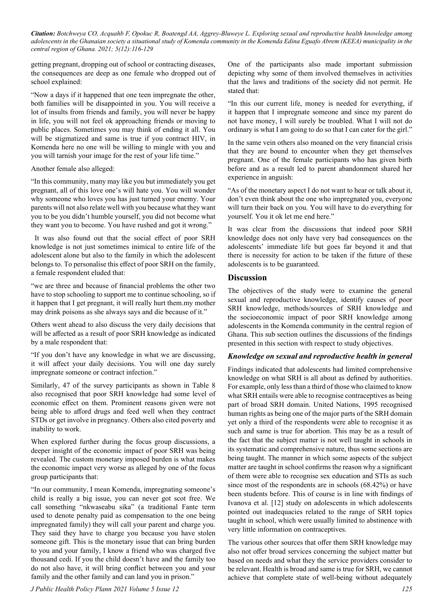getting pregnant, dropping out of school or contracting diseases, the consequences are deep as one female who dropped out of school explained:

"Now a days if it happened that one teen impregnate the other, both families will be disappointed in you. You will receive a lot of insults from friends and family, you will never be happy in life, you will not feel ok approaching friends or moving to public places. Sometimes you may think of ending it all. You will be stigmatized and same is true if you contract HIV, in Komenda here no one will be willing to mingle with you and you will tarnish your image for the rest of your life time."

Another female also alleged:

"In this community, many may like you but immediately you get pregnant, all of this love one's will hate you. You will wonder why someone who loves you has just turned your enemy. Your parents will not also relate well with you because what they want you to be you didn't humble yourself, you did not become what they want you to become. You have rushed and got it wrong."

 It was also found out that the social effect of poor SRH knowledge is not just sometimes inimical to entire life of the adolescent alone but also to the family in which the adolescent belongs to. To personalise this effect of poor SRH on the family, a female respondent eluded that:

"we are three and because of financial problems the other two have to stop schooling to support me to continue schooling, so if it happen that I get pregnant, it will really hurt them.my mother may drink poisons as she always says and die because of it."

Others went ahead to also discuss the very daily decisions that will be affected as a result of poor SRH knowledge as indicated by a male respondent that:

"If you don't have any knowledge in what we are discussing, it will affect your daily decisions. You will one day surely impregnate someone or contract infection."

Similarly, 47 of the survey participants as shown in Table 8 also recognised that poor SRH knowledge had some level of economic effect on them. Prominent reasons given were not being able to afford drugs and feed well when they contract STDs or get involve in pregnancy. Others also cited poverty and inability to work.

When explored further during the focus group discussions, a deeper insight of the economic impact of poor SRH was being revealed. The custom monetary imposed burden is what makes the economic impact very worse as alleged by one of the focus group participants that:

"In our community, I mean Komenda, impregnating someone's child is really a big issue, you can never got scot free. We call something "nkwaseabu sika" (a traditional Fante term used to denote penalty paid as compensation to the one being impregnated family) they will call your parent and charge you. They said they have to charge you because you have stolen someone gift. This is the monetary issue that can bring burden to you and your family, I know a friend who was charged five thousand cedi. If you the child doesn't have and the family too do not also have, it will bring conflict between you and your family and the other family and can land you in prison."

*J Public Health Policy Plann 2021 Volume 5 Issue 12 125*

One of the participants also made important submission depicting why some of them involved themselves in activities that the laws and traditions of the society did not permit. He stated that:

"In this our current life, money is needed for everything, if it happen that I impregnate someone and since my parent do not have money, I will surely be troubled. What I will not do ordinary is what I am going to do so that I can cater for the girl."

In the same vein others also moaned on the very financial crisis that they are bound to encounter when they get themselves pregnant. One of the female participants who has given birth before and as a result led to parent abandonment shared her experience in anguish:

"As of the monetary aspect I do not want to hear or talk about it, don't even think about the one who impregnated you, everyone will turn their back on you. You will have to do everything for yourself. You it ok let me end here."

It was clear from the discussions that indeed poor SRH knowledge does not only have very bad consequences on the adolescents' immediate life but goes far beyond it and that there is necessity for action to be taken if the future of these adolescents is to be guaranteed.

## **Discussion**

The objectives of the study were to examine the general sexual and reproductive knowledge, identify causes of poor SRH knowledge, methods/sources of SRH knowledge and the socioeconomic impact of poor SRH knowledge among adolescents in the Komenda community in the central region of Ghana. This sub section outlines the discussions of the findings presented in this section with respect to study objectives.

#### *Knowledge on sexual and reproductive health in general*

Findings indicated that adolescents had limited comprehensive knowledge on what SRH is all about as defined by authorities. For example, only less than a third of those who claimed to know what SRH entails were able to recognise contraceptives as being part of broad SRH domain. United Nations, 1995 recognised human rights as being one of the major parts of the SRH domain yet only a third of the respondents were able to recognise it as such and same is true for abortion. This may be as a result of the fact that the subject matter is not well taught in schools in its systematic and comprehensive nature, thus some sections are being taught. The manner in which some aspects of the subject matter are taught in school confirms the reason why a significant of them were able to recognise sex education and STIs as such since most of the respondents are in schools (68.42%) or have been students before. This of course is in line with findings of Ivanova et al. [12] study on adolescents in which adolescents pointed out inadequacies related to the range of SRH topics taught in school, which were usually limited to abstinence with very little information on contraceptives.

The various other sources that offer them SRH knowledge may also not offer broad services concerning the subject matter but based on needs and what they the service providers consider to be relevant. Health is broad and same is true for SRH, we cannot achieve that complete state of well-being without adequately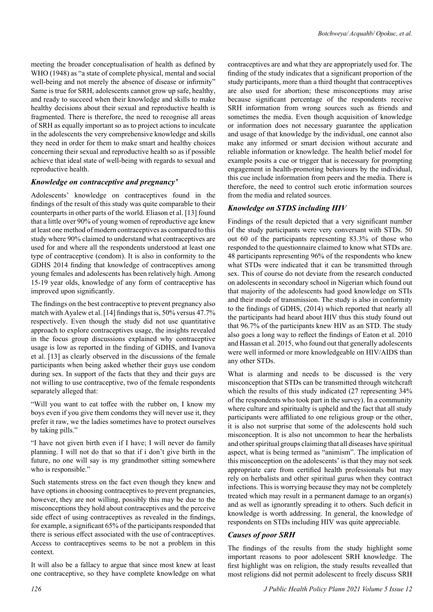meeting the broader conceptualisation of health as defined by WHO (1948) as "a state of complete physical, mental and social well-being and not merely the absence of disease or infirmity" Same is true for SRH, adolescents cannot grow up safe, healthy, and ready to succeed when their knowledge and skills to make healthy decisions about their sexual and reproductive health is fragmented. There is therefore, the need to recognise all areas of SRH as equally important so as to project actions to inculcate in the adolescents the very comprehensive knowledge and skills they need in order for them to make smart and healthy choices concerning their sexual and reproductive health so as if possible achieve that ideal state of well-being with regards to sexual and reproductive health.

## *Knowledge on contraceptive and pregnancy'*

Adolescents' knowledge on contraceptives found in the findings of the result of this study was quite comparable to their counterparts in other parts of the world. Eliason et al. [13] found that a little over 90% of young women of reproductive age knew at least one method of modern contraceptives as compared to this study where 90% claimed to understand what contraceptives are used for and where all the respondents understood at least one type of contraceptive (condom). It is also in conformity to the GDHS 2014 finding that knowledge of contraceptives among young females and adolescents has been relatively high. Among 15-19 year olds, knowledge of any form of contraceptive has improved upon significantly.

The findings on the best contraceptive to prevent pregnancy also match with Ayalew et al. [14] findings that is, 50% versus 47.7% respectively. Even though the study did not use quantitative approach to explore contraceptives usage, the insights revealed in the focus group discussions explained why contraceptive usage is low as reported in the finding of GDHS, and Ivanova et al. [13] as clearly observed in the discussions of the female participants when being asked whether their guys use condom during sex. In support of the facts that they and their guys are not willing to use contraceptive, two of the female respondents separately alleged that:

"Will you want to eat toffee with the rubber on, I know my boys even if you give them condoms they will never use it, they prefer it raw, we the ladies sometimes have to protect ourselves by taking pills."

"I have not given birth even if I have; I will never do family planning. I will not do that so that if i don't give birth in the future, no one will say is my grandmother sitting somewhere who is responsible."

Such statements stress on the fact even though they knew and have options in choosing contraceptives to prevent pregnancies, however, they are not willing, possibly this may be due to the misconceptions they hold about contraceptives and the perceive side effect of using contraceptives as revealed in the findings, for example, a significant 65% of the participants responded that there is serious effect associated with the use of contraceptives. Access to contraceptives seems to be not a problem in this context.

It will also be a fallacy to argue that since most knew at least one contraceptive, so they have complete knowledge on what

contraceptives are and what they are appropriately used for. The finding of the study indicates that a significant proportion of the study participants, more than a third thought that contraceptives are also used for abortion; these misconceptions may arise because significant percentage of the respondents receive SRH information from wrong sources such as friends and sometimes the media. Even though acquisition of knowledge or information does not necessary guarantee the application and usage of that knowledge by the individual, one cannot also make any informed or smart decision without accurate and reliable information or knowledge. The health belief model for example posits a cue or trigger that is necessary for prompting engagement in health-promoting behaviours by the individual, this cue include information from peers and the media. There is therefore, the need to control such erotic information sources from the media and related sources.

# *Knowledge on STDS including HIV*

Findings of the result depicted that a very significant number of the study participants were very conversant with STDs. 50 out 60 of the participants representing 83.3% of those who responded to the questionnaire claimed to know what STDs are. 48 participants representing 96% of the respondents who knew what STDs were indicated that it can be transmitted through sex. This of course do not deviate from the research conducted on adolescents in secondary school in Nigerian which found out that majority of the adolescents had good knowledge on STIs and their mode of transmission. The study is also in conformity to the findings of GDHS, (2014) which reported that nearly all the participants had heard about HIV thus this study found out that 96.7% of the participants knew HIV as an STD. The study also goes a long way to reflect the findings of Eaton et al. 2010 and Hassan et al. 2015, who found out that generally adolescents were well informed or more knowledgeable on HIV/AIDS than any other STDs.

What is alarming and needs to be discussed is the very misconception that STDs can be transmitted through witchcraft which the results of this study indicated (27 representing 34% of the respondents who took part in the survey). In a community where culture and spiritualty is upheld and the fact that all study participants were affiliated to one religious group or the other, it is also not surprise that some of the adolescents hold such misconception. It is also not uncommon to hear the herbalists and other spiritual groups claiming that all diseases have spiritual aspect, what is being termed as "animism". The implication of this misconception on the adolescents' is that they may not seek appropriate care from certified health professionals but may rely on herbalists and other spiritual gurus when they contract infections. This is worrying because they may not be completely treated which may result in a permanent damage to an organ(s) and as well as ignorantly spreading it to others. Such deficit in knowledge is worth addressing. In general, the knowledge of respondents on STDs including HIV was quite appreciable.

## *Causes of poor SRH*

The findings of the results from the study highlight some important reasons to poor adolescent SRH knowledge. The first highlight was on religion, the study results revealled that most religions did not permit adolescent to freely discuss SRH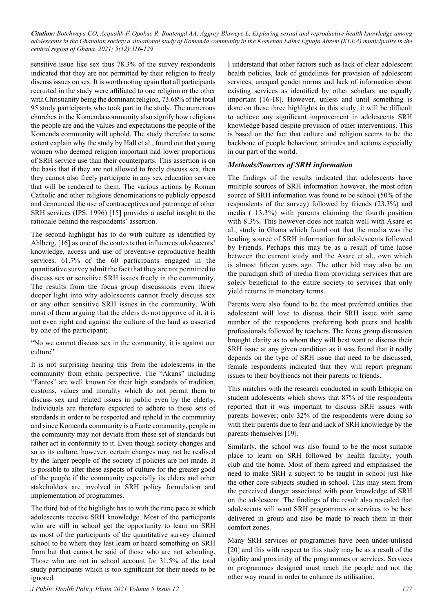sensitive issue like sex thus 78.3% of the survey respondents indicated that they are not permitted by their religion to freely discuss issues on sex. It is worth noting again that all participants recruited in the study were affiliated to one religion or the other with Christianity being the dominant religion, 73.68% of the total 95 study participants who took part in the study. The numerous churches in the Komenda community also signify how religious the people are and the values and expectations the people of the Komenda community will uphold. The study therefore to some extent explain why the study by Hall et al., found out that young women who deemed religion important had lower proportions of SRH service use than their counterparts. This assertion is on the basis that if they are not allowed to freely discuss sex, then they cannot also freely participate in any sex education service that will be rendered to them. The various actions by Roman Catholic and other religious denominations to publicly opposed and denounced the use of contraceptives and patronage of other SRH services (IPS, 1996) [15] provides a useful insight to the rationale behind the respondents' assertion.

The second highlight has to do with culture as identified by Ahlberg, [16] as one of the contexts that influences adolescents' knowledge, access and use of preventive reproductive health services. 61.7% of the 60 participants engaged in the quantitative survey admit the fact that they are not permitted to discuss sex or sensitive SRH issues freely in the community. The results from the focus group discussions even threw deeper light into why adolescents cannot freely discuss sex or any other sensitive SRH issues in the community. With most of them arguing that the elders do not approve of it, it is not even right and against the culture of the land as asserted by one of the participant;

"No we cannot discuss sex in the community, it is against our culture"

It is not surprising hearing this from the adolescents in the community from ethnic perspective. The "Akans" including "Fantes" are well known for their high standards of tradition, customs, values and morality which do not permit them to discuss sex and related issues in public even by the elderly. Individuals are therefore expected to adhere to these sets of standards in order to be respected and upheld in the community and since Komenda community is a Fante community, people in the community may not deviate from these set of standards but rather act in conformity to it. Even though society changes and so as its culture, however, certain changes may not be realised by the larger people of the society if policies are not made. It is possible to alter these aspects of culture for the greater good of the people if the community especially its elders and other stakeholders are involved in SRH policy formulation and implementation of programmes.

The third bid of the highlight has to with the time pace at which adolescents receive SRH knowledge. Most of the participants who are still in school get the opportunity to learn on SRH as most of the participants of the quantitative survey claimed school to be where they last learn or heard something on SRH from but that cannot be said of those who are not schooling. Those who are not in school account for 31.5% of the total study participants which is too significant for their needs to be ignored.

I understand that other factors such as lack of clear adolescent health policies, lack of guidelines for provision of adolescent services, unequal gender norms and lack of information about existing services as identified by other scholars are equally important [16-18]. However, unless and until something is done on these three highlights in this study, it will be difficult to achieve any significant improvement in adolescents SRH knowledge based despite provision of other interventions. This is based on the fact that culture and religion seems to be the backbone of people behaviour, attitudes and actions especially in our part of the world.

## *Methods/Sources of SRH information*

The findings of the results indicated that adolescents have multiple sources of SRH information however, the most often source of SRH information was found to be school (50% of the respondents of the survey) followed by friends (23.3%) and media ( 13.3%) with parents claiming the fourth position with 8.3%. This however does not match well with Asare et al., study in Ghana which found out that the media was the leading source of SRH information for adolescents followed by Friends. Perhaps this may be as a result of time lapse between the current study and the Asare et al., own which is almost fifteen years ago. The other bid may also be on the paradigm shift of media from providing services that are solely beneficial to the entire society to services that only yield returns in monetary terms.

Parents were also found to be the most preferred entities that adolescent will love to discuss their SRH issue with same number of the respondents preferring both peers and health professionals followed by teachers. The focus group discussion brought clarity as to whom they will best want to discuss their SRH issue at any given condition as it was found that it really depends on the type of SRH issue that need to be discussed, female respondents indicated that they will report pregnant issues to their boyfriends not their parents or friends.

This matches with the research conducted in south Ethiopia on student adolescents which shows that 87% of the respondents reported that it was important to discuss SRH issues with parents however; only 32% of the respondents were doing so with their parents due to fear and lack of SRH knowledge by the parents themselves [19].

Similarly, the school was also found to be the most suitable place to learn on SRH followed by health facility, youth club and the home. Most of them agreed and emphasised the need to make SRH a subject to be taught in school just like the other core subjects studied in school. This may stem from the perceived danger associated with poor knowledge of SRH on the adolescent. The findings of the result also revealed that adolescents will want SRH programmes or services to be best delivered in group and also be made to reach them in their comfort zones.

Many SRH services or programmes have been under-utilised [20] and this with respect to this study may be as a result of the rigidity and proximity of the programmes or services. Services or programmes designed must reach the people and not the other way round in order to enhance its utilisation.

*J Public Health Policy Plann 2021 Volume 5 Issue 12 127*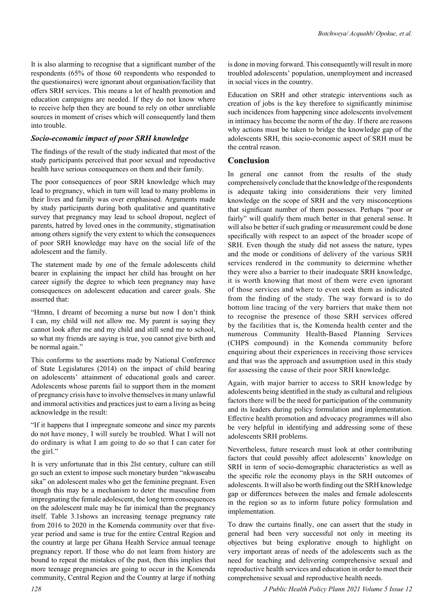It is also alarming to recognise that a significant number of the respondents (65% of those 60 respondents who responded to the questionaires) were ignorant about organisation/facility that offers SRH services. This means a lot of health promotion and education campaigns are needed. If they do not know where to receive help then they are bound to rely on other unreliable sources in moment of crises which will consequently land them into trouble.

#### *Socio-economic impact of poor SRH knowledge*

The findings of the result of the study indicated that most of the study participants perceived that poor sexual and reproductive health have serious consequences on them and their family.

The poor consequences of poor SRH knowledge which may lead to pregnancy, which in turn will lead to many problems in their lives and family was over emphasised. Arguments made by study participants during both qualitative and quantitative survey that pregnancy may lead to school dropout, neglect of parents, hatred by loved ones in the community, stigmatisation among others signify the very extent to which the consequences of poor SRH knowledge may have on the social life of the adolescent and the family.

The statement made by one of the female adolescents child bearer in explaining the impact her child has brought on her career signify the degree to which teen pregnancy may have consequences on adolescent education and career goals. She asserted that:

"Hmnn, I dreamt of becoming a nurse but now I don't think I can, my child will not allow me. My parent is saying they cannot look after me and my child and still send me to school, so what my friends are saying is true, you cannot give birth and be normal again."

This conforms to the assertions made by National Conference of State Legislatures (2014) on the impact of child bearing on adolescents' attainment of educational goals and career. Adolescents whose parents fail to support them in the moment of pregnancy crisis have to involve themselves in many unlawful and immoral activities and practices just to earn a living as being acknowledge in the result:

"If it happens that I impregnate someone and since my parents do not have money, I will surely be troubled. What I will not do ordinary is what I am going to do so that I can cater for the girl."

It is very unfortunate that in this 2lst century, culture can still go such an extent to impose such monetary burden "nkwaseabu sika" on adolescent males who get the feminine pregnant. Even though this may be a mechanism to deter the masculine from impregnating the female adolescent, the long term consequences on the adolescent male may be far inimical than the pregnancy itself. Table 3.1shows an increasing teenage pregnancy rate from 2016 to 2020 in the Komenda community over that fiveyear period and same is true for the entire Central Region and the country at large per Ghana Health Service annual teenage pregnancy report. If those who do not learn from history are bound to repeat the mistakes of the past, then this implies that more teenage pregnancies are going to occur in the Komenda community, Central Region and the Country at large if nothing

is done in moving forward. This consequently will result in more troubled adolescents' population, unemployment and increased in social vices in the country.

Education on SRH and other strategic interventions such as creation of jobs is the key therefore to significantly minimise such incidences from happening since adolescents involvement in intimacy has become the norm of the day. If there are reasons why actions must be taken to bridge the knowledge gap of the adolescents SRH, this socio-economic aspect of SRH must be the central reason.

# **Conclusion**

In general one cannot from the results of the study comprehensively conclude that the knowledge of the respondents is adequate taking into considerations their very limited knowledge on the scope of SRH and the very misconceptions that significant number of them possesses. Perhaps "poor or fairly" will qualify them much better in that general sense. It will also be better if such grading or measurement could be done specifically with respect to an aspect of the broader scope of SRH. Even though the study did not assess the nature, types and the mode or conditions of delivery of the various SRH services rendered in the community to determine whether they were also a barrier to their inadequate SRH knowledge, it is worth knowing that most of them were even ignorant of those services and where to even seek them as indicated from the finding of the study. The way forward is to do bottom line tracing of the very barriers that make them not to recognise the presence of those SRH services offered by the facilities that is, the Komenda health center and the numerous Community Health-Based Planning Services (CHPS compound) in the Komenda community before enquiring about their experiences in receiving those services and that was the approach and assumption used in this study for assessing the cause of their poor SRH knowledge.

Again, with major barrier to access to SRH knowledge by adolescents being identified in the study as cultural and religious factors there will be the need for participation of the community and its leaders during policy formulation and implementation. Effective health promotion and advocacy programmes will also be very helpful in identifying and addressing some of these adolescents SRH problems.

Nevertheless, future research must look at other contributing factors that could possibly affect adolescents' knowledge on SRH in term of socio-demographic characteristics as well as the specific role the economy plays in the SRH outcomes of adolescents. It will also be worth finding out the SRH knowledge gap or differences between the males and female adolescents in the region so as to inform future policy formulation and implementation.

To draw the curtains finally, one can assert that the study in general had been very successful not only in meeting its objectives but being explorative enough to highlight on very important areas of needs of the adolescents such as the need for teaching and delivering comprehensive sexual and reproductive health services and education in order to meet their comprehensive sexual and reproductive health needs.

*128 J Public Health Policy Plann 2021 Volume 5 Issue 12*